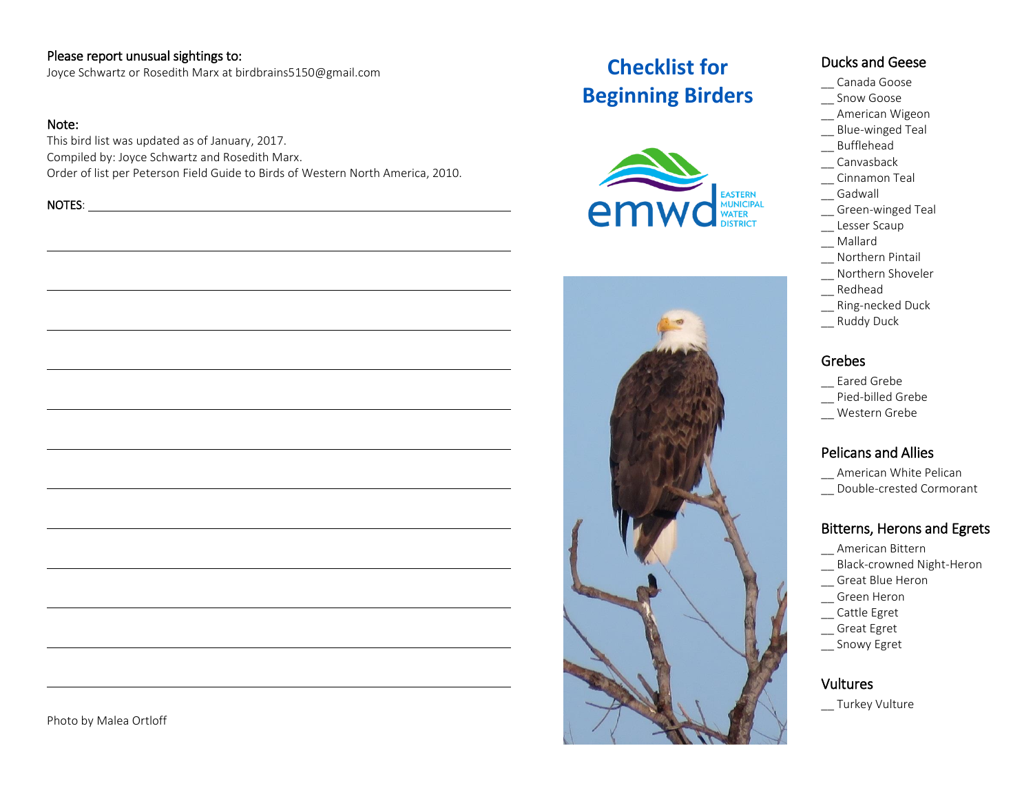#### Please report unusual sightings to:

Joyce Schwartz or Rosedith Marx at birdbrains5150@gmail.com

#### Note:

This bird list was updated as of January, 2017. Compiled by: Joyce Schwartz and Rosedith Marx. Order of list per Peterson Field Guide to Birds of Western North America, 2010.

NOTES:



# **Checklist for Beginning Birders**





#### Ducks and Geese

- \_\_ Canada Goose
- \_\_ Snow Goose
- \_\_ American Wigeon
- \_\_ Blue-winged Teal
- \_\_ Bufflehead
- \_\_ Canvasback
- \_\_ Cinnamon Teal
- \_\_ Gadwall
- \_\_ Green-winged Teal
- \_\_ Lesser Scaup
- \_\_ Mallard
- \_\_ Northern Pintail
- \_\_ Northern Shoveler
- \_\_ Redhead
- \_\_ Ring-necked Duck
- \_\_ Ruddy Duck

#### Grebes

- \_\_ Eared Grebe
- \_\_ Pied-billed Grebe
- \_\_ Western Grebe

#### Pelicans and Allies

- \_\_ American White Pelican
- \_\_ Double-crested Cormorant

#### Bitterns, Herons and Egrets

- \_\_ American Bittern
- \_\_ Black-crowned Night-Heron
- \_\_ Great Blue Heron
- \_\_ Green Heron
- \_\_ Cattle Egret
- \_\_ Great Egret
- \_\_ Snowy Egret

#### Vultures

\_\_ Turkey Vulture